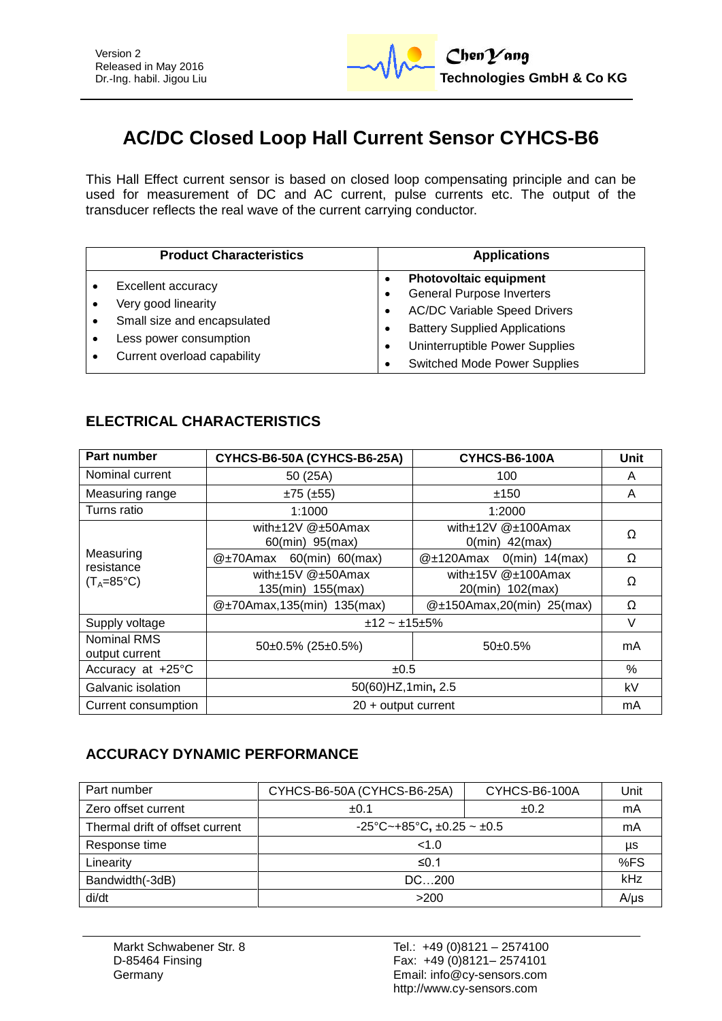

# **AC/DC Closed Loop Hall Current Sensor CYHCS-B6**

This Hall Effect current sensor is based on closed loop compensating principle and can be used for measurement of DC and AC current, pulse currents etc. The output of the transducer reflects the real wave of the current carrying conductor.

| <b>Product Characteristics</b>                                                                                                    | <b>Applications</b>                                                                                                                                                                                                                         |
|-----------------------------------------------------------------------------------------------------------------------------------|---------------------------------------------------------------------------------------------------------------------------------------------------------------------------------------------------------------------------------------------|
| Excellent accuracy<br>Very good linearity<br>Small size and encapsulated<br>Less power consumption<br>Current overload capability | <b>Photovoltaic equipment</b><br><b>General Purpose Inverters</b><br><b>AC/DC Variable Speed Drivers</b><br>٠<br><b>Battery Supplied Applications</b><br>Uninterruptible Power Supplies<br>$\bullet$<br><b>Switched Mode Power Supplies</b> |

### **ELECTRICAL CHARACTERISTICS**

| Part number                                    | CYHCS-B6-50A (CYHCS-B6-25A)                      | CYHCS-B6-100A                              | Unit |
|------------------------------------------------|--------------------------------------------------|--------------------------------------------|------|
| Nominal current                                | 50 (25A)                                         | 100                                        | A    |
| Measuring range                                | $±75$ ( $±55$ )                                  | ±150                                       | A    |
| Turns ratio                                    | 1:1000                                           | 1:2000                                     |      |
| Measuring<br>resistance<br>$(T_A=85^{\circ}C)$ | with $\pm$ 12V @ $\pm$ 50Amax<br>60(min) 95(max) | with±12V @±100Amax<br>$0$ (min) $42$ (max) | Ω    |
|                                                | 60(min) 60(max)<br>@±70Amax                      | $0$ (min) $14$ (max)<br>$@{\pm}120$ Amax   | Ω    |
|                                                | with±15V @±50Amax<br>135(min) 155(max)           | with±15V @±100Amax<br>20(min) 102(max)     | Ω    |
|                                                | @±70Amax,135(min) 135(max)                       | $@t150Amax,20(min)$ 25(max)                | Ω    |
| Supply voltage                                 | $±12$ ~ $±15±5%$                                 |                                            | V    |
| Nominal RMS<br>output current                  | $50\pm0.5\%$ (25 $\pm0.5\%$ )                    | $50+0.5%$                                  | mA   |
| Accuracy at +25°C                              | ±0.5                                             |                                            |      |
| Galvanic isolation                             | 50(60) HZ, 1 min, 2.5                            |                                            |      |
| Current consumption                            | $20 +$ output current                            |                                            |      |

#### **ACCURACY DYNAMIC PERFORMANCE**

| Part number                     | CYHCS-B6-50A (CYHCS-B6-25A)         | CYHCS-B6-100A | Unit |
|---------------------------------|-------------------------------------|---------------|------|
| Zero offset current             | ±0.1                                | ±0.2          | mA   |
| Thermal drift of offset current | -25°C~+85°C, $\pm$ 0.25 ~ $\pm$ 0.5 |               | mA   |
| Response time                   | < 1.0                               |               | μs   |
| Linearity                       | ≤0.1                                |               | %FS  |
| Bandwidth(-3dB)                 | DC200                               |               |      |
| di/dt                           | >200                                |               | A/us |